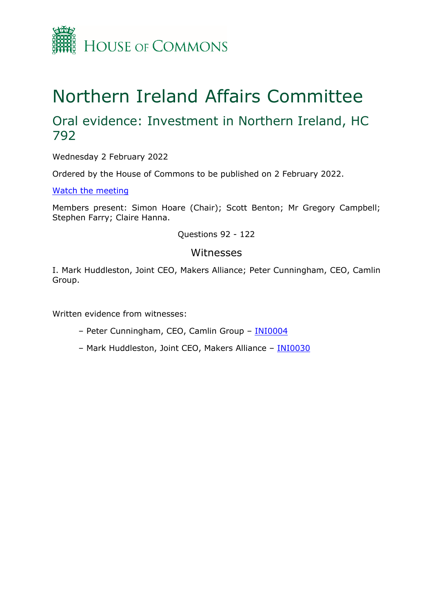

# Northern Ireland Affairs Committee

## Oral evidence: Investment in Northern Ireland, HC 792

Wednesday 2 February 2022

Ordered by the House of Commons to be published on 2 February 2022.

[Watch](https://parliamentlive.tv/event/index/5c3628f5-23fe-4809-82a7-481a2508e895) [the](https://parliamentlive.tv/event/index/5c3628f5-23fe-4809-82a7-481a2508e895) [meeting](https://parliamentlive.tv/event/index/5c3628f5-23fe-4809-82a7-481a2508e895)

Members present: Simon Hoare (Chair); Scott Benton; Mr Gregory Campbell; Stephen Farry; Claire Hanna.

Questions 92 - 122

#### Witnesses

I. Mark Huddleston, Joint CEO, Makers Alliance; Peter Cunningham, CEO, Camlin Group.

Written evidence from witnesses:

- Peter Cunningham, CEO, Camlin Group [INI0004](https://committees.parliament.uk/writtenevidence/41710/html/)
- Mark Huddleston, Joint CEO, Makers Alliance [INI0030](https://committees.parliament.uk/writtenevidence/42636/html/)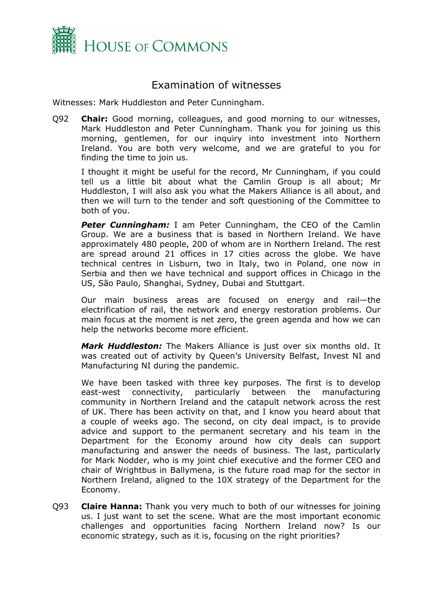

### Examination of witnesses

Witnesses: Mark Huddleston and Peter Cunningham.

Q92 **Chair:** Good morning, colleagues, and good morning to our witnesses, Mark Huddleston and Peter Cunningham. Thank you for joining us this morning, gentlemen, for our inquiry into investment into Northern Ireland. You are both very welcome, and we are grateful to you for finding the time to join us.

I thought it might be useful for the record, Mr Cunningham, if you could tell us a little bit about what the Camlin Group is all about; Mr Huddleston, I will also ask you what the Makers Alliance is all about, and then we will turn to the tender and soft questioning of the Committee to both of you.

**Peter Cunningham:** I am Peter Cunningham, the CEO of the Camlin Group. We are a business that is based in Northern Ireland. We have approximately 480 people, 200 of whom are in Northern Ireland. The rest are spread around 21 offices in 17 cities across the globe. We have technical centres in Lisburn, two in Italy, two in Poland, one now in Serbia and then we have technical and support offices in Chicago in the US, São Paulo, Shanghai, Sydney, Dubai and Stuttgart.

Our main business areas are focused on energy and rail—the electrification of rail, the network and energy restoration problems. Our main focus at the moment is net zero, the green agenda and how we can help the networks become more efficient.

*Mark Huddleston:* The Makers Alliance is just over six months old. It was created out of activity by Queen's University Belfast, Invest NI and Manufacturing NI during the pandemic.

We have been tasked with three key purposes. The first is to develop east-west connectivity, particularly between the manufacturing community in Northern Ireland and the catapult network across the rest of UK. There has been activity on that, and I know you heard about that a couple of weeks ago. The second, on city deal impact, is to provide advice and support to the permanent secretary and his team in the Department for the Economy around how city deals can support manufacturing and answer the needs of business. The last, particularly for Mark Nodder, who is my joint chief executive and the former CEO and chair of Wrightbus in Ballymena, is the future road map for the sector in Northern Ireland, aligned to the 10X strategy of the Department for the Economy.

Q93 **Claire Hanna:** Thank you very much to both of our witnesses for joining us. I just want to set the scene. What are the most important economic challenges and opportunities facing Northern Ireland now? Is our economic strategy, such as it is, focusing on the right priorities?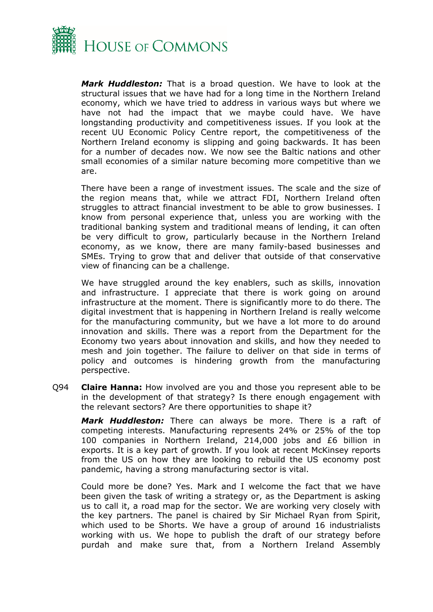

*Mark Huddleston:* That is a broad question. We have to look at the structural issues that we have had for a long time in the Northern Ireland economy, which we have tried to address in various ways but where we have not had the impact that we maybe could have. We have longstanding productivity and competitiveness issues. If you look at the recent UU Economic Policy Centre report, the competitiveness of the Northern Ireland economy is slipping and going backwards. It has been for a number of decades now. We now see the Baltic nations and other small economies of a similar nature becoming more competitive than we are.

There have been a range of investment issues. The scale and the size of the region means that, while we attract FDI, Northern Ireland often struggles to attract financial investment to be able to grow businesses. I know from personal experience that, unless you are working with the traditional banking system and traditional means of lending, it can often be very difficult to grow, particularly because in the Northern Ireland economy, as we know, there are many family-based businesses and SMEs. Trying to grow that and deliver that outside of that conservative view of financing can be a challenge.

We have struggled around the key enablers, such as skills, innovation and infrastructure. I appreciate that there is work going on around infrastructure at the moment. There is significantly more to do there. The digital investment that is happening in Northern Ireland is really welcome for the manufacturing community, but we have a lot more to do around innovation and skills. There was a report from the Department for the Economy two years about innovation and skills, and how they needed to mesh and join together. The failure to deliver on that side in terms of policy and outcomes is hindering growth from the manufacturing perspective.

Q94 **Claire Hanna:** How involved are you and those you represent able to be in the development of that strategy? Is there enough engagement with the relevant sectors? Are there opportunities to shape it?

*Mark Huddleston:* There can always be more. There is a raft of competing interests. Manufacturing represents 24% or 25% of the top 100 companies in Northern Ireland, 214,000 jobs and £6 billion in exports. It is a key part of growth. If you look at recent McKinsey reports from the US on how they are looking to rebuild the US economy post pandemic, having a strong manufacturing sector is vital.

Could more be done? Yes. Mark and I welcome the fact that we have been given the task of writing a strategy or, as the Department is asking us to call it, a road map for the sector. We are working very closely with the key partners. The panel is chaired by Sir Michael Ryan from Spirit, which used to be Shorts. We have a group of around 16 industrialists working with us. We hope to publish the draft of our strategy before purdah and make sure that, from a Northern Ireland Assembly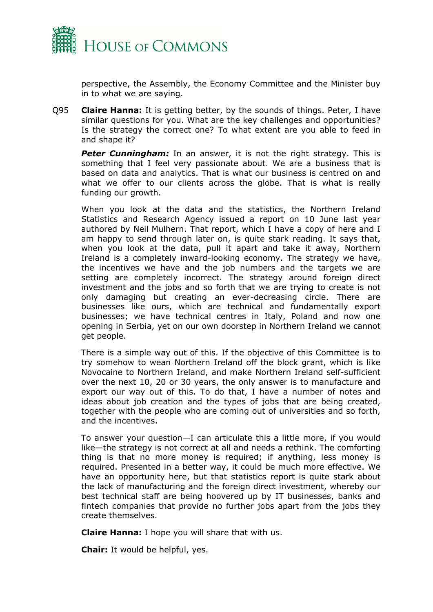

perspective, the Assembly, the Economy Committee and the Minister buy in to what we are saying.

Q95 **Claire Hanna:** It is getting better, by the sounds of things. Peter, I have similar questions for you. What are the key challenges and opportunities? Is the strategy the correct one? To what extent are you able to feed in and shape it?

**Peter Cunningham:** In an answer, it is not the right strategy. This is something that I feel very passionate about. We are a business that is based on data and analytics. That is what our business is centred on and what we offer to our clients across the globe. That is what is really funding our growth.

When you look at the data and the statistics, the Northern Ireland Statistics and Research Agency issued a report on 10 June last year authored by Neil Mulhern. That report, which I have a copy of here and I am happy to send through later on, is quite stark reading. It says that, when you look at the data, pull it apart and take it away, Northern Ireland is a completely inward-looking economy. The strategy we have, the incentives we have and the job numbers and the targets we are setting are completely incorrect. The strategy around foreign direct investment and the jobs and so forth that we are trying to create is not only damaging but creating an ever-decreasing circle. There are businesses like ours, which are technical and fundamentally export businesses; we have technical centres in Italy, Poland and now one opening in Serbia, yet on our own doorstep in Northern Ireland we cannot get people.

There is a simple way out of this. If the objective of this Committee is to try somehow to wean Northern Ireland off the block grant, which is like Novocaine to Northern Ireland, and make Northern Ireland self-sufficient over the next 10, 20 or 30 years, the only answer is to manufacture and export our way out of this. To do that, I have a number of notes and ideas about job creation and the types of jobs that are being created, together with the people who are coming out of universities and so forth, and the incentives.

To answer your question—I can articulate this a little more, if you would like—the strategy is not correct at all and needs a rethink. The comforting thing is that no more money is required; if anything, less money is required. Presented in a better way, it could be much more effective. We have an opportunity here, but that statistics report is quite stark about the lack of manufacturing and the foreign direct investment, whereby our best technical staff are being hoovered up by IT businesses, banks and fintech companies that provide no further jobs apart from the jobs they create themselves.

**Claire Hanna:** I hope you will share that with us.

**Chair:** It would be helpful, yes.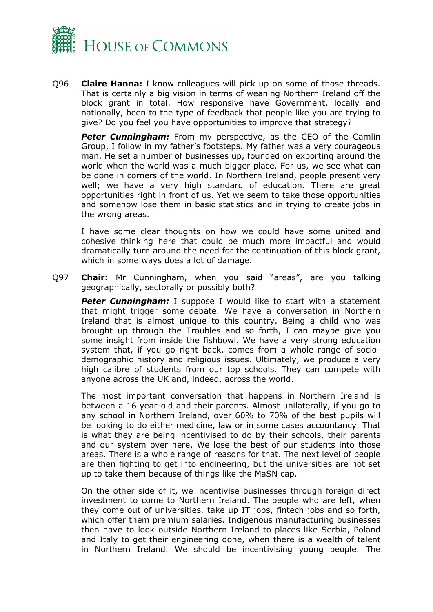

Q96 **Claire Hanna:** I know colleagues will pick up on some of those threads. That is certainly a big vision in terms of weaning Northern Ireland off the block grant in total. How responsive have Government, locally and nationally, been to the type of feedback that people like you are trying to give? Do you feel you have opportunities to improve that strategy?

**Peter Cunningham:** From my perspective, as the CEO of the Camlin Group, I follow in my father's footsteps. My father was a very courageous man. He set a number of businesses up, founded on exporting around the world when the world was a much bigger place. For us, we see what can be done in corners of the world. In Northern Ireland, people present very well; we have a very high standard of education. There are great opportunities right in front of us. Yet we seem to take those opportunities and somehow lose them in basic statistics and in trying to create jobs in the wrong areas.

I have some clear thoughts on how we could have some united and cohesive thinking here that could be much more impactful and would dramatically turn around the need for the continuation of this block grant, which in some ways does a lot of damage.

Q97 **Chair:** Mr Cunningham, when you said "areas", are you talking geographically, sectorally or possibly both?

**Peter Cunningham:** I suppose I would like to start with a statement that might trigger some debate. We have a conversation in Northern Ireland that is almost unique to this country. Being a child who was brought up through the Troubles and so forth, I can maybe give you some insight from inside the fishbowl. We have a very strong education system that, if you go right back, comes from a whole range of sociodemographic history and religious issues. Ultimately, we produce a very high calibre of students from our top schools. They can compete with anyone across the UK and, indeed, across the world.

The most important conversation that happens in Northern Ireland is between a 16 year-old and their parents. Almost unilaterally, if you go to any school in Northern Ireland, over 60% to 70% of the best pupils will be looking to do either medicine, law or in some cases accountancy. That is what they are being incentivised to do by their schools, their parents and our system over here. We lose the best of our students into those areas. There is a whole range of reasons for that. The next level of people are then fighting to get into engineering, but the universities are not set up to take them because of things like the MaSN cap.

On the other side of it, we incentivise businesses through foreign direct investment to come to Northern Ireland. The people who are left, when they come out of universities, take up IT jobs, fintech jobs and so forth, which offer them premium salaries. Indigenous manufacturing businesses then have to look outside Northern Ireland to places like Serbia, Poland and Italy to get their engineering done, when there is a wealth of talent in Northern Ireland. We should be incentivising young people. The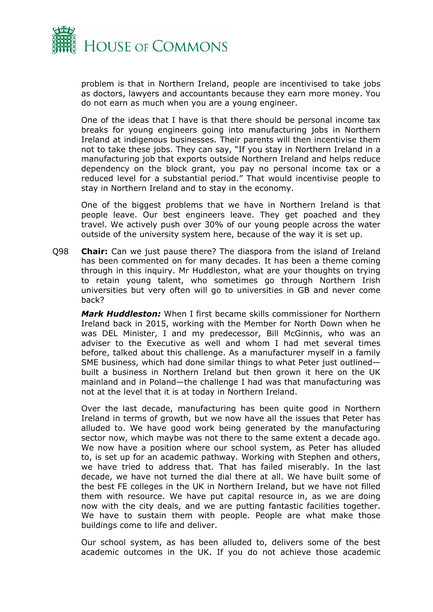

problem is that in Northern Ireland, people are incentivised to take jobs as doctors, lawyers and accountants because they earn more money. You do not earn as much when you are a young engineer.

One of the ideas that I have is that there should be personal income tax breaks for young engineers going into manufacturing jobs in Northern Ireland at indigenous businesses. Their parents will then incentivise them not to take these jobs. They can say, "If you stay in Northern Ireland in a manufacturing job that exports outside Northern Ireland and helps reduce dependency on the block grant, you pay no personal income tax or a reduced level for a substantial period." That would incentivise people to stay in Northern Ireland and to stay in the economy.

One of the biggest problems that we have in Northern Ireland is that people leave. Our best engineers leave. They get poached and they travel. We actively push over 30% of our young people across the water outside of the university system here, because of the way it is set up.

Q98 **Chair:** Can we just pause there? The diaspora from the island of Ireland has been commented on for many decades. It has been a theme coming through in this inquiry. Mr Huddleston, what are your thoughts on trying to retain young talent, who sometimes go through Northern Irish universities but very often will go to universities in GB and never come back?

*Mark Huddleston:* When I first became skills commissioner for Northern Ireland back in 2015, working with the Member for North Down when he was DEL Minister, I and my predecessor, Bill McGinnis, who was an adviser to the Executive as well and whom I had met several times before, talked about this challenge. As a manufacturer myself in a family SME business, which had done similar things to what Peter just outlined built a business in Northern Ireland but then grown it here on the UK mainland and in Poland—the challenge I had was that manufacturing was not at the level that it is at today in Northern Ireland.

Over the last decade, manufacturing has been quite good in Northern Ireland in terms of growth, but we now have all the issues that Peter has alluded to. We have good work being generated by the manufacturing sector now, which maybe was not there to the same extent a decade ago. We now have a position where our school system, as Peter has alluded to, is set up for an academic pathway. Working with Stephen and others, we have tried to address that. That has failed miserably. In the last decade, we have not turned the dial there at all. We have built some of the best FE colleges in the UK in Northern Ireland, but we have not filled them with resource. We have put capital resource in, as we are doing now with the city deals, and we are putting fantastic facilities together. We have to sustain them with people. People are what make those buildings come to life and deliver.

Our school system, as has been alluded to, delivers some of the best academic outcomes in the UK. If you do not achieve those academic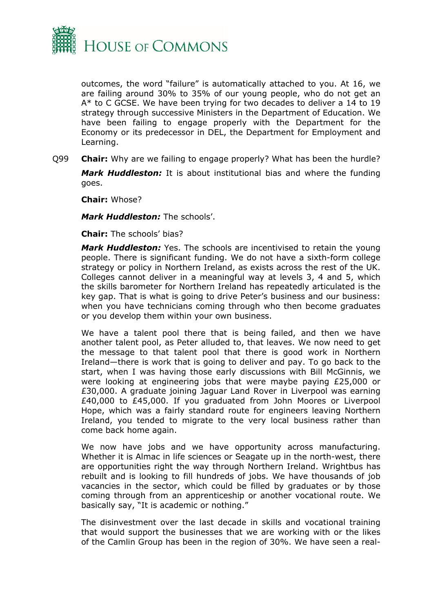

outcomes, the word "failure" is automatically attached to you. At 16, we are failing around 30% to 35% of our young people, who do not get an A\* to C GCSE. We have been trying for two decades to deliver a 14 to 19 strategy through successive Ministers in the Department of Education. We have been failing to engage properly with the Department for the Economy or its predecessor in DEL, the Department for Employment and Learning.

Q99 **Chair:** Why are we failing to engage properly? What has been the hurdle? *Mark Huddleston:* It is about institutional bias and where the funding goes.

**Chair:** Whose?

*Mark Huddleston:* The schools'.

**Chair:** The schools' bias?

*Mark Huddleston:* Yes. The schools are incentivised to retain the young people. There is significant funding. We do not have a sixth-form college strategy or policy in Northern Ireland, as exists across the rest of the UK. Colleges cannot deliver in a meaningful way at levels 3, 4 and 5, which the skills barometer for Northern Ireland has repeatedly articulated is the key gap. That is what is going to drive Peter's business and our business: when you have technicians coming through who then become graduates or you develop them within your own business.

We have a talent pool there that is being failed, and then we have another talent pool, as Peter alluded to, that leaves. We now need to get the message to that talent pool that there is good work in Northern Ireland—there is work that is going to deliver and pay. To go back to the start, when I was having those early discussions with Bill McGinnis, we were looking at engineering jobs that were maybe paying £25,000 or £30,000. A graduate joining Jaguar Land Rover in Liverpool was earning £40,000 to £45,000. If you graduated from John Moores or Liverpool Hope, which was a fairly standard route for engineers leaving Northern Ireland, you tended to migrate to the very local business rather than come back home again.

We now have jobs and we have opportunity across manufacturing. Whether it is Almac in life sciences or Seagate up in the north-west, there are opportunities right the way through Northern Ireland. Wrightbus has rebuilt and is looking to fill hundreds of jobs. We have thousands of job vacancies in the sector, which could be filled by graduates or by those coming through from an apprenticeship or another vocational route. We basically say, "It is academic or nothing."

The disinvestment over the last decade in skills and vocational training that would support the businesses that we are working with or the likes of the Camlin Group has been in the region of 30%. We have seen a real-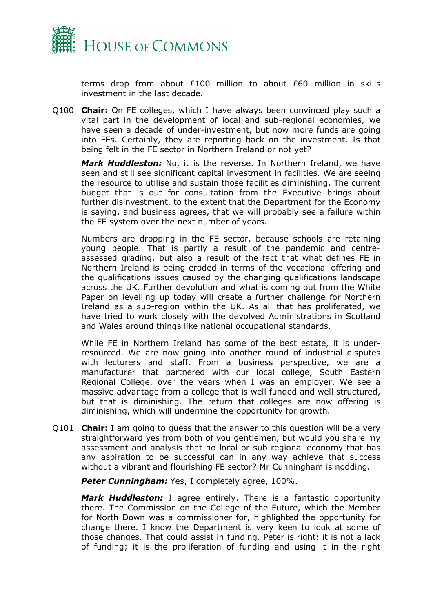

terms drop from about £100 million to about £60 million in skills investment in the last decade.

Q100 **Chair:** On FE colleges, which I have always been convinced play such a vital part in the development of local and sub-regional economies, we have seen a decade of under-investment, but now more funds are going into FEs. Certainly, they are reporting back on the investment. Is that being felt in the FE sector in Northern Ireland or not yet?

*Mark Huddleston:* No, it is the reverse. In Northern Ireland, we have seen and still see significant capital investment in facilities. We are seeing the resource to utilise and sustain those facilities diminishing. The current budget that is out for consultation from the Executive brings about further disinvestment, to the extent that the Department for the Economy is saying, and business agrees, that we will probably see a failure within the FE system over the next number of years.

Numbers are dropping in the FE sector, because schools are retaining young people. That is partly a result of the pandemic and centreassessed grading, but also a result of the fact that what defines FE in Northern Ireland is being eroded in terms of the vocational offering and the qualifications issues caused by the changing qualifications landscape across the UK. Further devolution and what is coming out from the White Paper on levelling up today will create a further challenge for Northern Ireland as a sub-region within the UK. As all that has proliferated, we have tried to work closely with the devolved Administrations in Scotland and Wales around things like national occupational standards.

While FE in Northern Ireland has some of the best estate, it is underresourced. We are now going into another round of industrial disputes with lecturers and staff. From a business perspective, we are a manufacturer that partnered with our local college, South Eastern Regional College, over the years when I was an employer. We see a massive advantage from a college that is well funded and well structured, but that is diminishing. The return that colleges are now offering is diminishing, which will undermine the opportunity for growth.

Q101 **Chair:** I am going to guess that the answer to this question will be a very straightforward yes from both of you gentlemen, but would you share my assessment and analysis that no local or sub-regional economy that has any aspiration to be successful can in any way achieve that success without a vibrant and flourishing FE sector? Mr Cunningham is nodding.

*Peter Cunningham:* Yes, I completely agree, 100%.

*Mark Huddleston:* I agree entirely. There is a fantastic opportunity there. The Commission on the College of the Future, which the Member for North Down was a commissioner for, highlighted the opportunity for change there. I know the Department is very keen to look at some of those changes. That could assist in funding. Peter is right: it is not a lack of funding; it is the proliferation of funding and using it in the right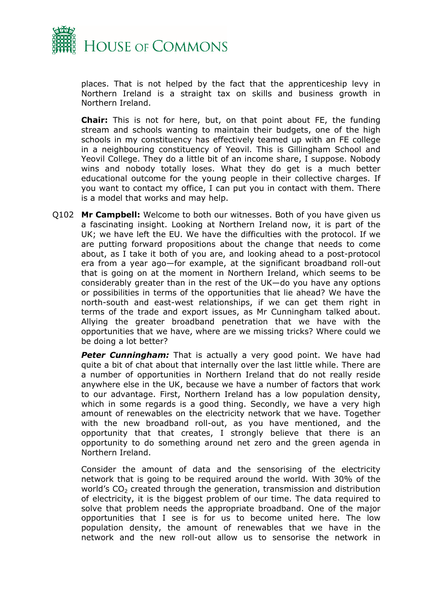

places. That is not helped by the fact that the apprenticeship levy in Northern Ireland is a straight tax on skills and business growth in Northern Ireland.

**Chair:** This is not for here, but, on that point about FE, the funding stream and schools wanting to maintain their budgets, one of the high schools in my constituency has effectively teamed up with an FE college in a neighbouring constituency of Yeovil. This is Gillingham School and Yeovil College. They do a little bit of an income share, I suppose. Nobody wins and nobody totally loses. What they do get is a much better educational outcome for the young people in their collective charges. If you want to contact my office, I can put you in contact with them. There is a model that works and may help.

Q102 **Mr Campbell:** Welcome to both our witnesses. Both of you have given us a fascinating insight. Looking at Northern Ireland now, it is part of the UK; we have left the EU. We have the difficulties with the protocol. If we are putting forward propositions about the change that needs to come about, as I take it both of you are, and looking ahead to a post-protocol era from a year ago—for example, at the significant broadband roll-out that is going on at the moment in Northern Ireland, which seems to be considerably greater than in the rest of the UK—do you have any options or possibilities in terms of the opportunities that lie ahead? We have the north-south and east-west relationships, if we can get them right in terms of the trade and export issues, as Mr Cunningham talked about. Allying the greater broadband penetration that we have with the opportunities that we have, where are we missing tricks? Where could we be doing a lot better?

**Peter Cunningham:** That is actually a very good point. We have had quite a bit of chat about that internally over the last little while. There are a number of opportunities in Northern Ireland that do not really reside anywhere else in the UK, because we have a number of factors that work to our advantage. First, Northern Ireland has a low population density, which in some regards is a good thing. Secondly, we have a very high amount of renewables on the electricity network that we have. Together with the new broadband roll-out, as you have mentioned, and the opportunity that that creates, I strongly believe that there is an opportunity to do something around net zero and the green agenda in Northern Ireland.

Consider the amount of data and the sensorising of the electricity network that is going to be required around the world. With 30% of the world's  $CO<sub>2</sub>$  created through the generation, transmission and distribution of electricity, it is the biggest problem of our time. The data required to solve that problem needs the appropriate broadband. One of the major opportunities that I see is for us to become united here. The low population density, the amount of renewables that we have in the network and the new roll-out allow us to sensorise the network in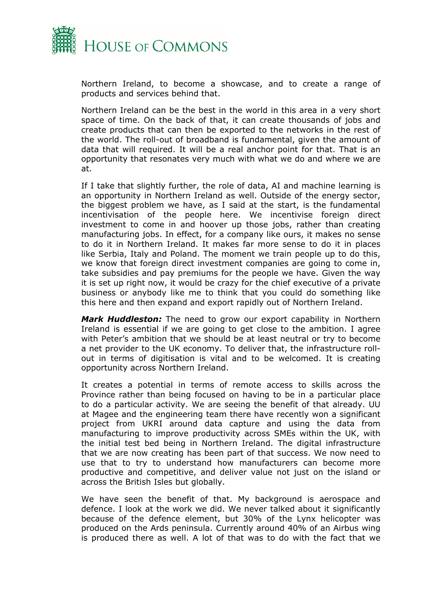

Northern Ireland, to become a showcase, and to create a range of products and services behind that.

Northern Ireland can be the best in the world in this area in a very short space of time. On the back of that, it can create thousands of jobs and create products that can then be exported to the networks in the rest of the world. The roll-out of broadband is fundamental, given the amount of data that will required. It will be a real anchor point for that. That is an opportunity that resonates very much with what we do and where we are at.

If I take that slightly further, the role of data, AI and machine learning is an opportunity in Northern Ireland as well. Outside of the energy sector, the biggest problem we have, as I said at the start, is the fundamental incentivisation of the people here. We incentivise foreign direct investment to come in and hoover up those jobs, rather than creating manufacturing jobs. In effect, for a company like ours, it makes no sense to do it in Northern Ireland. It makes far more sense to do it in places like Serbia, Italy and Poland. The moment we train people up to do this, we know that foreign direct investment companies are going to come in, take subsidies and pay premiums for the people we have. Given the way it is set up right now, it would be crazy for the chief executive of a private business or anybody like me to think that you could do something like this here and then expand and export rapidly out of Northern Ireland.

*Mark Huddleston:* The need to grow our export capability in Northern Ireland is essential if we are going to get close to the ambition. I agree with Peter's ambition that we should be at least neutral or try to become a net provider to the UK economy. To deliver that, the infrastructure rollout in terms of digitisation is vital and to be welcomed. It is creating opportunity across Northern Ireland.

It creates a potential in terms of remote access to skills across the Province rather than being focused on having to be in a particular place to do a particular activity. We are seeing the benefit of that already. UU at Magee and the engineering team there have recently won a significant project from UKRI around data capture and using the data from manufacturing to improve productivity across SMEs within the UK, with the initial test bed being in Northern Ireland. The digital infrastructure that we are now creating has been part of that success. We now need to use that to try to understand how manufacturers can become more productive and competitive, and deliver value not just on the island or across the British Isles but globally.

We have seen the benefit of that. My background is aerospace and defence. I look at the work we did. We never talked about it significantly because of the defence element, but 30% of the Lynx helicopter was produced on the Ards peninsula. Currently around 40% of an Airbus wing is produced there as well. A lot of that was to do with the fact that we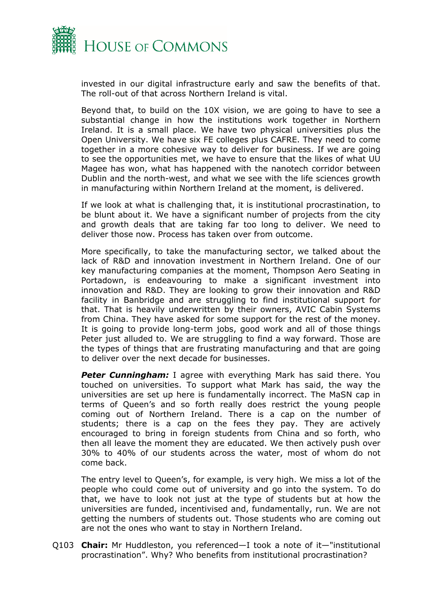

invested in our digital infrastructure early and saw the benefits of that. The roll-out of that across Northern Ireland is vital.

Beyond that, to build on the 10X vision, we are going to have to see a substantial change in how the institutions work together in Northern Ireland. It is a small place. We have two physical universities plus the Open University. We have six FE colleges plus CAFRE. They need to come together in a more cohesive way to deliver for business. If we are going to see the opportunities met, we have to ensure that the likes of what UU Magee has won, what has happened with the nanotech corridor between Dublin and the north-west, and what we see with the life sciences growth in manufacturing within Northern Ireland at the moment, is delivered.

If we look at what is challenging that, it is institutional procrastination, to be blunt about it. We have a significant number of projects from the city and growth deals that are taking far too long to deliver. We need to deliver those now. Process has taken over from outcome.

More specifically, to take the manufacturing sector, we talked about the lack of R&D and innovation investment in Northern Ireland. One of our key manufacturing companies at the moment, Thompson Aero Seating in Portadown, is endeavouring to make a significant investment into innovation and R&D. They are looking to grow their innovation and R&D facility in Banbridge and are struggling to find institutional support for that. That is heavily underwritten by their owners, AVIC Cabin Systems from China. They have asked for some support for the rest of the money. It is going to provide long-term jobs, good work and all of those things Peter just alluded to. We are struggling to find a way forward. Those are the types of things that are frustrating manufacturing and that are going to deliver over the next decade for businesses.

**Peter Cunningham:** I agree with everything Mark has said there. You touched on universities. To support what Mark has said, the way the universities are set up here is fundamentally incorrect. The MaSN cap in terms of Queen's and so forth really does restrict the young people coming out of Northern Ireland. There is a cap on the number of students; there is a cap on the fees they pay. They are actively encouraged to bring in foreign students from China and so forth, who then all leave the moment they are educated. We then actively push over 30% to 40% of our students across the water, most of whom do not come back.

The entry level to Queen's, for example, is very high. We miss a lot of the people who could come out of university and go into the system. To do that, we have to look not just at the type of students but at how the universities are funded, incentivised and, fundamentally, run. We are not getting the numbers of students out. Those students who are coming out are not the ones who want to stay in Northern Ireland.

Q103 **Chair:** Mr Huddleston, you referenced—I took a note of it—"institutional procrastination". Why? Who benefits from institutional procrastination?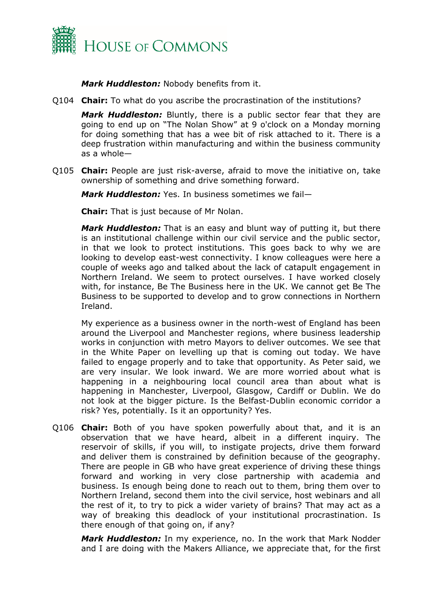

*Mark Huddleston:* Nobody benefits from it.

Q104 **Chair:** To what do you ascribe the procrastination of the institutions?

*Mark Huddleston:* Bluntly, there is a public sector fear that they are going to end up on "The Nolan Show" at 9 o'clock on a Monday morning for doing something that has a wee bit of risk attached to it. There is a deep frustration within manufacturing and within the business community as a whole—

Q105 **Chair:** People are just risk-averse, afraid to move the initiative on, take ownership of something and drive something forward.

*Mark Huddleston:* Yes. In business sometimes we fail—

**Chair:** That is just because of Mr Nolan.

*Mark Huddleston:* That is an easy and blunt way of putting it, but there is an institutional challenge within our civil service and the public sector, in that we look to protect institutions. This goes back to why we are looking to develop east-west connectivity. I know colleagues were here a couple of weeks ago and talked about the lack of catapult engagement in Northern Ireland. We seem to protect ourselves. I have worked closely with, for instance, Be The Business here in the UK. We cannot get Be The Business to be supported to develop and to grow connections in Northern Ireland.

My experience as a business owner in the north-west of England has been around the Liverpool and Manchester regions, where business leadership works in conjunction with metro Mayors to deliver outcomes. We see that in the White Paper on levelling up that is coming out today. We have failed to engage properly and to take that opportunity. As Peter said, we are very insular. We look inward. We are more worried about what is happening in a neighbouring local council area than about what is happening in Manchester, Liverpool, Glasgow, Cardiff or Dublin. We do not look at the bigger picture. Is the Belfast-Dublin economic corridor a risk? Yes, potentially. Is it an opportunity? Yes.

Q106 **Chair:** Both of you have spoken powerfully about that, and it is an observation that we have heard, albeit in a different inquiry. The reservoir of skills, if you will, to instigate projects, drive them forward and deliver them is constrained by definition because of the geography. There are people in GB who have great experience of driving these things forward and working in very close partnership with academia and business. Is enough being done to reach out to them, bring them over to Northern Ireland, second them into the civil service, host webinars and all the rest of it, to try to pick a wider variety of brains? That may act as a way of breaking this deadlock of your institutional procrastination. Is there enough of that going on, if any?

*Mark Huddleston:* In my experience, no. In the work that Mark Nodder and I are doing with the Makers Alliance, we appreciate that, for the first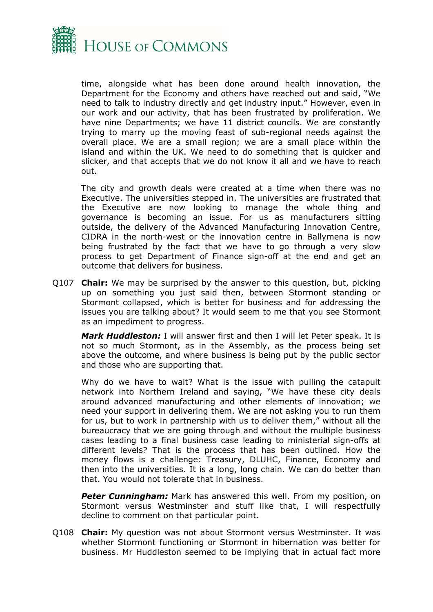

time, alongside what has been done around health innovation, the Department for the Economy and others have reached out and said, "We need to talk to industry directly and get industry input." However, even in our work and our activity, that has been frustrated by proliferation. We have nine Departments; we have 11 district councils. We are constantly trying to marry up the moving feast of sub-regional needs against the overall place. We are a small region; we are a small place within the island and within the UK. We need to do something that is quicker and slicker, and that accepts that we do not know it all and we have to reach out.

The city and growth deals were created at a time when there was no Executive. The universities stepped in. The universities are frustrated that the Executive are now looking to manage the whole thing and governance is becoming an issue. For us as manufacturers sitting outside, the delivery of the Advanced Manufacturing Innovation Centre, CIDRA in the north-west or the innovation centre in Ballymena is now being frustrated by the fact that we have to go through a very slow process to get Department of Finance sign-off at the end and get an outcome that delivers for business.

Q107 **Chair:** We may be surprised by the answer to this question, but, picking up on something you just said then, between Stormont standing or Stormont collapsed, which is better for business and for addressing the issues you are talking about? It would seem to me that you see Stormont as an impediment to progress.

*Mark Huddleston:* I will answer first and then I will let Peter speak. It is not so much Stormont, as in the Assembly, as the process being set above the outcome, and where business is being put by the public sector and those who are supporting that.

Why do we have to wait? What is the issue with pulling the catapult network into Northern Ireland and saying, "We have these city deals around advanced manufacturing and other elements of innovation; we need your support in delivering them. We are not asking you to run them for us, but to work in partnership with us to deliver them," without all the bureaucracy that we are going through and without the multiple business cases leading to a final business case leading to ministerial sign-offs at different levels? That is the process that has been outlined. How the money flows is a challenge: Treasury, DLUHC, Finance, Economy and then into the universities. It is a long, long chain. We can do better than that. You would not tolerate that in business.

**Peter Cunningham:** Mark has answered this well. From my position, on Stormont versus Westminster and stuff like that, I will respectfully decline to comment on that particular point.

Q108 **Chair:** My question was not about Stormont versus Westminster. It was whether Stormont functioning or Stormont in hibernation was better for business. Mr Huddleston seemed to be implying that in actual fact more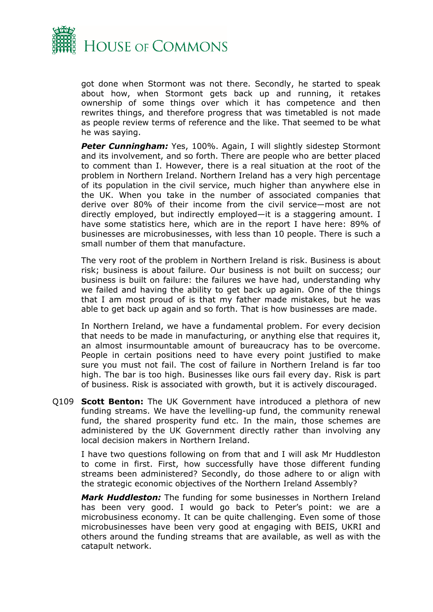

got done when Stormont was not there. Secondly, he started to speak about how, when Stormont gets back up and running, it retakes ownership of some things over which it has competence and then rewrites things, and therefore progress that was timetabled is not made as people review terms of reference and the like. That seemed to be what he was saying.

**Peter Cunningham:** Yes, 100%. Again, I will slightly sidestep Stormont and its involvement, and so forth. There are people who are better placed to comment than I. However, there is a real situation at the root of the problem in Northern Ireland. Northern Ireland has a very high percentage of its population in the civil service, much higher than anywhere else in the UK. When you take in the number of associated companies that derive over 80% of their income from the civil service—most are not directly employed, but indirectly employed—it is a staggering amount. I have some statistics here, which are in the report I have here: 89% of businesses are microbusinesses, with less than 10 people. There is such a small number of them that manufacture.

The very root of the problem in Northern Ireland is risk. Business is about risk; business is about failure. Our business is not built on success; our business is built on failure: the failures we have had, understanding why we failed and having the ability to get back up again. One of the things that I am most proud of is that my father made mistakes, but he was able to get back up again and so forth. That is how businesses are made.

In Northern Ireland, we have a fundamental problem. For every decision that needs to be made in manufacturing, or anything else that requires it, an almost insurmountable amount of bureaucracy has to be overcome. People in certain positions need to have every point justified to make sure you must not fail. The cost of failure in Northern Ireland is far too high. The bar is too high. Businesses like ours fail every day. Risk is part of business. Risk is associated with growth, but it is actively discouraged.

Q109 **Scott Benton:** The UK Government have introduced a plethora of new funding streams. We have the levelling-up fund, the community renewal fund, the shared prosperity fund etc. In the main, those schemes are administered by the UK Government directly rather than involving any local decision makers in Northern Ireland.

I have two questions following on from that and I will ask Mr Huddleston to come in first. First, how successfully have those different funding streams been administered? Secondly, do those adhere to or align with the strategic economic objectives of the Northern Ireland Assembly?

*Mark Huddleston:* The funding for some businesses in Northern Ireland has been very good. I would go back to Peter's point: we are a microbusiness economy. It can be quite challenging. Even some of those microbusinesses have been very good at engaging with BEIS, UKRI and others around the funding streams that are available, as well as with the catapult network.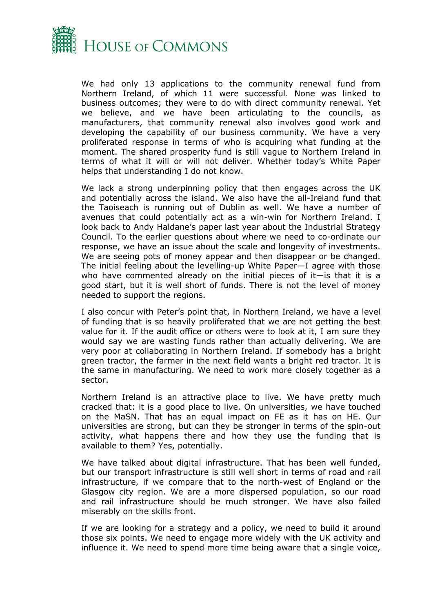

We had only 13 applications to the community renewal fund from Northern Ireland, of which 11 were successful. None was linked to business outcomes; they were to do with direct community renewal. Yet we believe, and we have been articulating to the councils, as manufacturers, that community renewal also involves good work and developing the capability of our business community. We have a very proliferated response in terms of who is acquiring what funding at the moment. The shared prosperity fund is still vague to Northern Ireland in terms of what it will or will not deliver. Whether today's White Paper helps that understanding I do not know.

We lack a strong underpinning policy that then engages across the UK and potentially across the island. We also have the all-Ireland fund that the Taoiseach is running out of Dublin as well. We have a number of avenues that could potentially act as a win-win for Northern Ireland. I look back to Andy Haldane's paper last year about the Industrial Strategy Council. To the earlier questions about where we need to co-ordinate our response, we have an issue about the scale and longevity of investments. We are seeing pots of money appear and then disappear or be changed. The initial feeling about the levelling-up White Paper—I agree with those who have commented already on the initial pieces of it—is that it is a good start, but it is well short of funds. There is not the level of money needed to support the regions.

I also concur with Peter's point that, in Northern Ireland, we have a level of funding that is so heavily proliferated that we are not getting the best value for it. If the audit office or others were to look at it, I am sure they would say we are wasting funds rather than actually delivering. We are very poor at collaborating in Northern Ireland. If somebody has a bright green tractor, the farmer in the next field wants a bright red tractor. It is the same in manufacturing. We need to work more closely together as a sector.

Northern Ireland is an attractive place to live. We have pretty much cracked that: it is a good place to live. On universities, we have touched on the MaSN. That has an equal impact on FE as it has on HE. Our universities are strong, but can they be stronger in terms of the spin-out activity, what happens there and how they use the funding that is available to them? Yes, potentially.

We have talked about digital infrastructure. That has been well funded, but our transport infrastructure is still well short in terms of road and rail infrastructure, if we compare that to the north-west of England or the Glasgow city region. We are a more dispersed population, so our road and rail infrastructure should be much stronger. We have also failed miserably on the skills front.

If we are looking for a strategy and a policy, we need to build it around those six points. We need to engage more widely with the UK activity and influence it. We need to spend more time being aware that a single voice,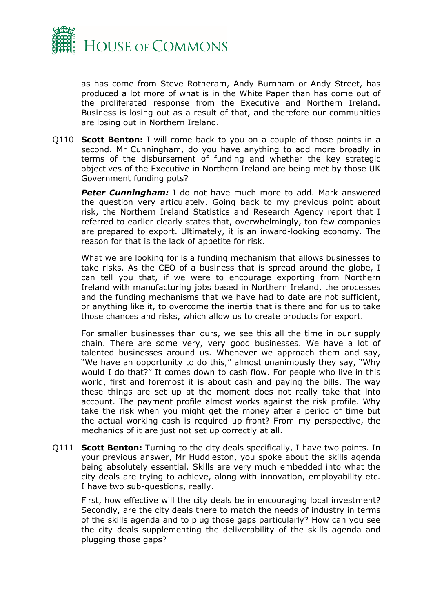

as has come from Steve Rotheram, Andy Burnham or Andy Street, has produced a lot more of what is in the White Paper than has come out of the proliferated response from the Executive and Northern Ireland. Business is losing out as a result of that, and therefore our communities are losing out in Northern Ireland.

Q110 **Scott Benton:** I will come back to you on a couple of those points in a second. Mr Cunningham, do you have anything to add more broadly in terms of the disbursement of funding and whether the key strategic objectives of the Executive in Northern Ireland are being met by those UK Government funding pots?

**Peter Cunningham:** I do not have much more to add. Mark answered the question very articulately. Going back to my previous point about risk, the Northern Ireland Statistics and Research Agency report that I referred to earlier clearly states that, overwhelmingly, too few companies are prepared to export. Ultimately, it is an inward-looking economy. The reason for that is the lack of appetite for risk.

What we are looking for is a funding mechanism that allows businesses to take risks. As the CEO of a business that is spread around the globe, I can tell you that, if we were to encourage exporting from Northern Ireland with manufacturing jobs based in Northern Ireland, the processes and the funding mechanisms that we have had to date are not sufficient, or anything like it, to overcome the inertia that is there and for us to take those chances and risks, which allow us to create products for export.

For smaller businesses than ours, we see this all the time in our supply chain. There are some very, very good businesses. We have a lot of talented businesses around us. Whenever we approach them and say, "We have an opportunity to do this," almost unanimously they say, "Why would I do that?" It comes down to cash flow. For people who live in this world, first and foremost it is about cash and paying the bills. The way these things are set up at the moment does not really take that into account. The payment profile almost works against the risk profile. Why take the risk when you might get the money after a period of time but the actual working cash is required up front? From my perspective, the mechanics of it are just not set up correctly at all.

Q111 **Scott Benton:** Turning to the city deals specifically, I have two points. In your previous answer, Mr Huddleston, you spoke about the skills agenda being absolutely essential. Skills are very much embedded into what the city deals are trying to achieve, along with innovation, employability etc. I have two sub-questions, really.

First, how effective will the city deals be in encouraging local investment? Secondly, are the city deals there to match the needs of industry in terms of the skills agenda and to plug those gaps particularly? How can you see the city deals supplementing the deliverability of the skills agenda and plugging those gaps?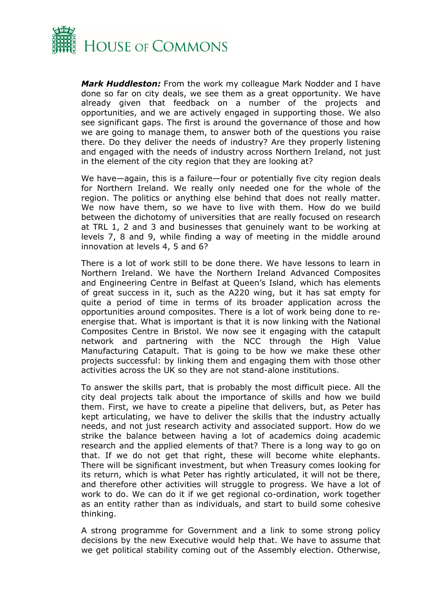

*Mark Huddleston:* From the work my colleague Mark Nodder and I have done so far on city deals, we see them as a great opportunity. We have already given that feedback on a number of the projects and opportunities, and we are actively engaged in supporting those. We also see significant gaps. The first is around the governance of those and how we are going to manage them, to answer both of the questions you raise there. Do they deliver the needs of industry? Are they properly listening and engaged with the needs of industry across Northern Ireland, not just in the element of the city region that they are looking at?

We have—again, this is a failure—four or potentially five city region deals for Northern Ireland. We really only needed one for the whole of the region. The politics or anything else behind that does not really matter. We now have them, so we have to live with them. How do we build between the dichotomy of universities that are really focused on research at TRL 1, 2 and 3 and businesses that genuinely want to be working at levels 7, 8 and 9, while finding a way of meeting in the middle around innovation at levels 4, 5 and 6?

There is a lot of work still to be done there. We have lessons to learn in Northern Ireland. We have the Northern Ireland Advanced Composites and Engineering Centre in Belfast at Queen's Island, which has elements of great success in it, such as the A220 wing, but it has sat empty for quite a period of time in terms of its broader application across the opportunities around composites. There is a lot of work being done to reenergise that. What is important is that it is now linking with the National Composites Centre in Bristol. We now see it engaging with the catapult network and partnering with the NCC through the High Value Manufacturing Catapult. That is going to be how we make these other projects successful: by linking them and engaging them with those other activities across the UK so they are not stand-alone institutions.

To answer the skills part, that is probably the most difficult piece. All the city deal projects talk about the importance of skills and how we build them. First, we have to create a pipeline that delivers, but, as Peter has kept articulating, we have to deliver the skills that the industry actually needs, and not just research activity and associated support. How do we strike the balance between having a lot of academics doing academic research and the applied elements of that? There is a long way to go on that. If we do not get that right, these will become white elephants. There will be significant investment, but when Treasury comes looking for its return, which is what Peter has rightly articulated, it will not be there, and therefore other activities will struggle to progress. We have a lot of work to do. We can do it if we get regional co-ordination, work together as an entity rather than as individuals, and start to build some cohesive thinking.

A strong programme for Government and a link to some strong policy decisions by the new Executive would help that. We have to assume that we get political stability coming out of the Assembly election. Otherwise,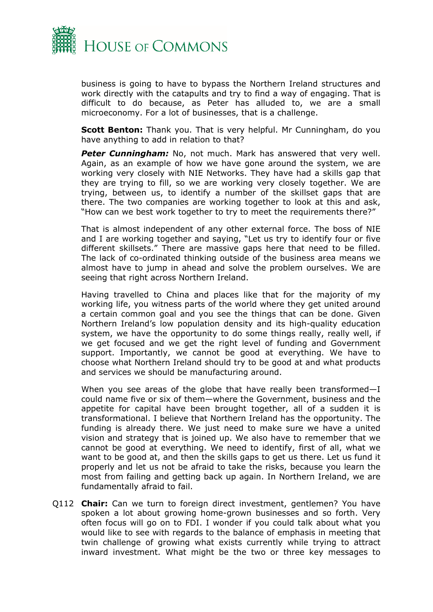

business is going to have to bypass the Northern Ireland structures and work directly with the catapults and try to find a way of engaging. That is difficult to do because, as Peter has alluded to, we are a small microeconomy. For a lot of businesses, that is a challenge.

**Scott Benton:** Thank you. That is very helpful. Mr Cunningham, do you have anything to add in relation to that?

**Peter Cunningham:** No, not much. Mark has answered that very well. Again, as an example of how we have gone around the system, we are working very closely with NIE Networks. They have had a skills gap that they are trying to fill, so we are working very closely together. We are trying, between us, to identify a number of the skillset gaps that are there. The two companies are working together to look at this and ask, "How can we best work together to try to meet the requirements there?"

That is almost independent of any other external force. The boss of NIE and I are working together and saying, "Let us try to identify four or five different skillsets." There are massive gaps here that need to be filled. The lack of co-ordinated thinking outside of the business area means we almost have to jump in ahead and solve the problem ourselves. We are seeing that right across Northern Ireland.

Having travelled to China and places like that for the majority of my working life, you witness parts of the world where they get united around a certain common goal and you see the things that can be done. Given Northern Ireland's low population density and its high-quality education system, we have the opportunity to do some things really, really well, if we get focused and we get the right level of funding and Government support. Importantly, we cannot be good at everything. We have to choose what Northern Ireland should try to be good at and what products and services we should be manufacturing around.

When you see areas of the globe that have really been transformed—I could name five or six of them—where the Government, business and the appetite for capital have been brought together, all of a sudden it is transformational. I believe that Northern Ireland has the opportunity. The funding is already there. We just need to make sure we have a united vision and strategy that is joined up. We also have to remember that we cannot be good at everything. We need to identify, first of all, what we want to be good at, and then the skills gaps to get us there. Let us fund it properly and let us not be afraid to take the risks, because you learn the most from failing and getting back up again. In Northern Ireland, we are fundamentally afraid to fail.

Q112 **Chair:** Can we turn to foreign direct investment, gentlemen? You have spoken a lot about growing home-grown businesses and so forth. Very often focus will go on to FDI. I wonder if you could talk about what you would like to see with regards to the balance of emphasis in meeting that twin challenge of growing what exists currently while trying to attract inward investment. What might be the two or three key messages to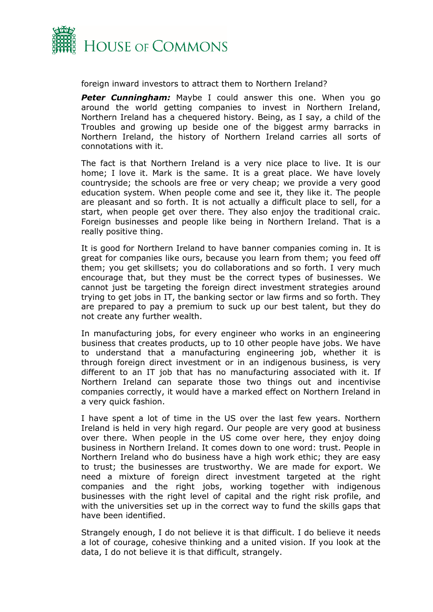

foreign inward investors to attract them to Northern Ireland?

**Peter Cunningham:** Maybe I could answer this one. When you go around the world getting companies to invest in Northern Ireland, Northern Ireland has a chequered history. Being, as I say, a child of the Troubles and growing up beside one of the biggest army barracks in Northern Ireland, the history of Northern Ireland carries all sorts of connotations with it.

The fact is that Northern Ireland is a very nice place to live. It is our home; I love it. Mark is the same. It is a great place. We have lovely countryside; the schools are free or very cheap; we provide a very good education system. When people come and see it, they like it. The people are pleasant and so forth. It is not actually a difficult place to sell, for a start, when people get over there. They also enjoy the traditional craic. Foreign businesses and people like being in Northern Ireland. That is a really positive thing.

It is good for Northern Ireland to have banner companies coming in. It is great for companies like ours, because you learn from them; you feed off them; you get skillsets; you do collaborations and so forth. I very much encourage that, but they must be the correct types of businesses. We cannot just be targeting the foreign direct investment strategies around trying to get jobs in IT, the banking sector or law firms and so forth. They are prepared to pay a premium to suck up our best talent, but they do not create any further wealth.

In manufacturing jobs, for every engineer who works in an engineering business that creates products, up to 10 other people have jobs. We have to understand that a manufacturing engineering job, whether it is through foreign direct investment or in an indigenous business, is very different to an IT job that has no manufacturing associated with it. If Northern Ireland can separate those two things out and incentivise companies correctly, it would have a marked effect on Northern Ireland in a very quick fashion.

I have spent a lot of time in the US over the last few years. Northern Ireland is held in very high regard. Our people are very good at business over there. When people in the US come over here, they enjoy doing business in Northern Ireland. It comes down to one word: trust. People in Northern Ireland who do business have a high work ethic; they are easy to trust; the businesses are trustworthy. We are made for export. We need a mixture of foreign direct investment targeted at the right companies and the right jobs, working together with indigenous businesses with the right level of capital and the right risk profile, and with the universities set up in the correct way to fund the skills gaps that have been identified.

Strangely enough, I do not believe it is that difficult. I do believe it needs a lot of courage, cohesive thinking and a united vision. If you look at the data, I do not believe it is that difficult, strangely.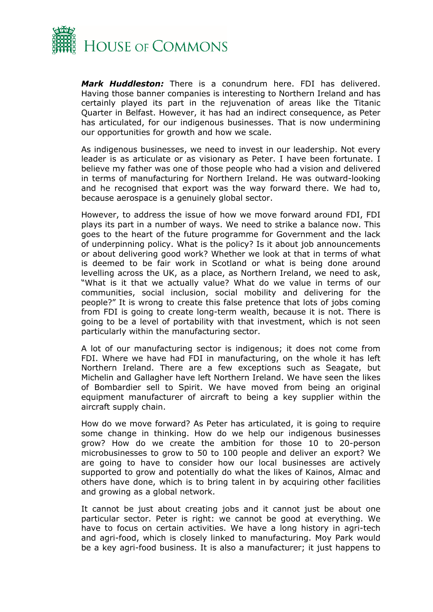

*Mark Huddleston:* There is a conundrum here. FDI has delivered. Having those banner companies is interesting to Northern Ireland and has certainly played its part in the rejuvenation of areas like the Titanic Quarter in Belfast. However, it has had an indirect consequence, as Peter has articulated, for our indigenous businesses. That is now undermining our opportunities for growth and how we scale.

As indigenous businesses, we need to invest in our leadership. Not every leader is as articulate or as visionary as Peter. I have been fortunate. I believe my father was one of those people who had a vision and delivered in terms of manufacturing for Northern Ireland. He was outward-looking and he recognised that export was the way forward there. We had to, because aerospace is a genuinely global sector.

However, to address the issue of how we move forward around FDI, FDI plays its part in a number of ways. We need to strike a balance now. This goes to the heart of the future programme for Government and the lack of underpinning policy. What is the policy? Is it about job announcements or about delivering good work? Whether we look at that in terms of what is deemed to be fair work in Scotland or what is being done around levelling across the UK, as a place, as Northern Ireland, we need to ask, "What is it that we actually value? What do we value in terms of our communities, social inclusion, social mobility and delivering for the people?" It is wrong to create this false pretence that lots of jobs coming from FDI is going to create long-term wealth, because it is not. There is going to be a level of portability with that investment, which is not seen particularly within the manufacturing sector.

A lot of our manufacturing sector is indigenous; it does not come from FDI. Where we have had FDI in manufacturing, on the whole it has left Northern Ireland. There are a few exceptions such as Seagate, but Michelin and Gallagher have left Northern Ireland. We have seen the likes of Bombardier sell to Spirit. We have moved from being an original equipment manufacturer of aircraft to being a key supplier within the aircraft supply chain.

How do we move forward? As Peter has articulated, it is going to require some change in thinking. How do we help our indigenous businesses grow? How do we create the ambition for those 10 to 20-person microbusinesses to grow to 50 to 100 people and deliver an export? We are going to have to consider how our local businesses are actively supported to grow and potentially do what the likes of Kainos, Almac and others have done, which is to bring talent in by acquiring other facilities and growing as a global network.

It cannot be just about creating jobs and it cannot just be about one particular sector. Peter is right: we cannot be good at everything. We have to focus on certain activities. We have a long history in agri-tech and agri-food, which is closely linked to manufacturing. Moy Park would be a key agri-food business. It is also a manufacturer; it just happens to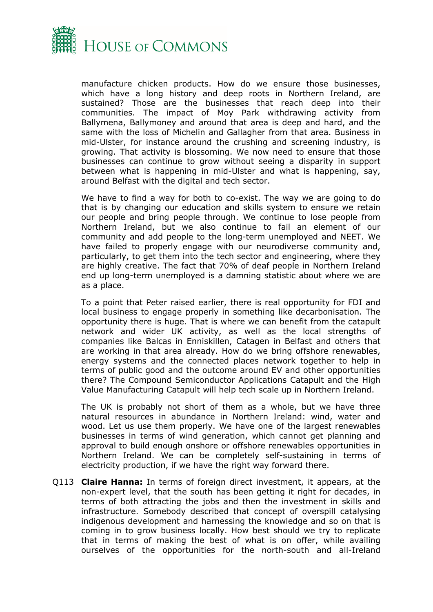

manufacture chicken products. How do we ensure those businesses, which have a long history and deep roots in Northern Ireland, are sustained? Those are the businesses that reach deep into their communities. The impact of Moy Park withdrawing activity from Ballymena, Ballymoney and around that area is deep and hard, and the same with the loss of Michelin and Gallagher from that area. Business in mid-Ulster, for instance around the crushing and screening industry, is growing. That activity is blossoming. We now need to ensure that those businesses can continue to grow without seeing a disparity in support between what is happening in mid-Ulster and what is happening, say, around Belfast with the digital and tech sector.

We have to find a way for both to co-exist. The way we are going to do that is by changing our education and skills system to ensure we retain our people and bring people through. We continue to lose people from Northern Ireland, but we also continue to fail an element of our community and add people to the long-term unemployed and NEET. We have failed to properly engage with our neurodiverse community and, particularly, to get them into the tech sector and engineering, where they are highly creative. The fact that 70% of deaf people in Northern Ireland end up long-term unemployed is a damning statistic about where we are as a place.

To a point that Peter raised earlier, there is real opportunity for FDI and local business to engage properly in something like decarbonisation. The opportunity there is huge. That is where we can benefit from the catapult network and wider UK activity, as well as the local strengths of companies like Balcas in Enniskillen, Catagen in Belfast and others that are working in that area already. How do we bring offshore renewables, energy systems and the connected places network together to help in terms of public good and the outcome around EV and other opportunities there? The Compound Semiconductor Applications Catapult and the High Value Manufacturing Catapult will help tech scale up in Northern Ireland.

The UK is probably not short of them as a whole, but we have three natural resources in abundance in Northern Ireland: wind, water and wood. Let us use them properly. We have one of the largest renewables businesses in terms of wind generation, which cannot get planning and approval to build enough onshore or offshore renewables opportunities in Northern Ireland. We can be completely self-sustaining in terms of electricity production, if we have the right way forward there.

Q113 **Claire Hanna:** In terms of foreign direct investment, it appears, at the non-expert level, that the south has been getting it right for decades, in terms of both attracting the jobs and then the investment in skills and infrastructure. Somebody described that concept of overspill catalysing indigenous development and harnessing the knowledge and so on that is coming in to grow business locally. How best should we try to replicate that in terms of making the best of what is on offer, while availing ourselves of the opportunities for the north-south and all-Ireland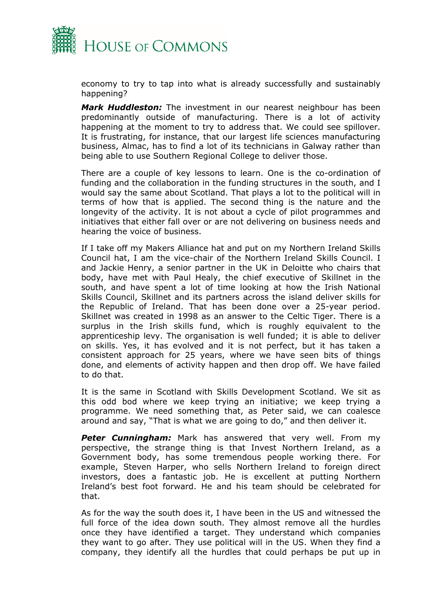

economy to try to tap into what is already successfully and sustainably happening?

*Mark Huddleston:* The investment in our nearest neighbour has been predominantly outside of manufacturing. There is a lot of activity happening at the moment to try to address that. We could see spillover. It is frustrating, for instance, that our largest life sciences manufacturing business, Almac, has to find a lot of its technicians in Galway rather than being able to use Southern Regional College to deliver those.

There are a couple of key lessons to learn. One is the co-ordination of funding and the collaboration in the funding structures in the south, and I would say the same about Scotland. That plays a lot to the political will in terms of how that is applied. The second thing is the nature and the longevity of the activity. It is not about a cycle of pilot programmes and initiatives that either fall over or are not delivering on business needs and hearing the voice of business.

If I take off my Makers Alliance hat and put on my Northern Ireland Skills Council hat, I am the vice-chair of the Northern Ireland Skills Council. I and Jackie Henry, a senior partner in the UK in Deloitte who chairs that body, have met with Paul Healy, the chief executive of Skillnet in the south, and have spent a lot of time looking at how the Irish National Skills Council, Skillnet and its partners across the island deliver skills for the Republic of Ireland. That has been done over a 25-year period. Skillnet was created in 1998 as an answer to the Celtic Tiger. There is a surplus in the Irish skills fund, which is roughly equivalent to the apprenticeship levy. The organisation is well funded; it is able to deliver on skills. Yes, it has evolved and it is not perfect, but it has taken a consistent approach for 25 years, where we have seen bits of things done, and elements of activity happen and then drop off. We have failed to do that.

It is the same in Scotland with Skills Development Scotland. We sit as this odd bod where we keep trying an initiative; we keep trying a programme. We need something that, as Peter said, we can coalesce around and say, "That is what we are going to do," and then deliver it.

*Peter Cunningham:* Mark has answered that very well. From my perspective, the strange thing is that Invest Northern Ireland, as a Government body, has some tremendous people working there. For example, Steven Harper, who sells Northern Ireland to foreign direct investors, does a fantastic job. He is excellent at putting Northern Ireland's best foot forward. He and his team should be celebrated for that.

As for the way the south does it, I have been in the US and witnessed the full force of the idea down south. They almost remove all the hurdles once they have identified a target. They understand which companies they want to go after. They use political will in the US. When they find a company, they identify all the hurdles that could perhaps be put up in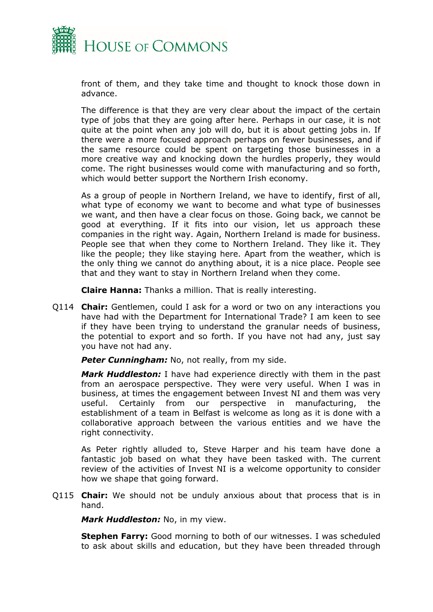

front of them, and they take time and thought to knock those down in advance.

The difference is that they are very clear about the impact of the certain type of jobs that they are going after here. Perhaps in our case, it is not quite at the point when any job will do, but it is about getting jobs in. If there were a more focused approach perhaps on fewer businesses, and if the same resource could be spent on targeting those businesses in a more creative way and knocking down the hurdles properly, they would come. The right businesses would come with manufacturing and so forth, which would better support the Northern Irish economy.

As a group of people in Northern Ireland, we have to identify, first of all, what type of economy we want to become and what type of businesses we want, and then have a clear focus on those. Going back, we cannot be good at everything. If it fits into our vision, let us approach these companies in the right way. Again, Northern Ireland is made for business. People see that when they come to Northern Ireland. They like it. They like the people; they like staying here. Apart from the weather, which is the only thing we cannot do anything about, it is a nice place. People see that and they want to stay in Northern Ireland when they come.

**Claire Hanna:** Thanks a million. That is really interesting.

Q114 **Chair:** Gentlemen, could I ask for a word or two on any interactions you have had with the Department for International Trade? I am keen to see if they have been trying to understand the granular needs of business, the potential to export and so forth. If you have not had any, just say you have not had any.

**Peter Cunningham:** No, not really, from my side.

*Mark Huddleston:* I have had experience directly with them in the past from an aerospace perspective. They were very useful. When I was in business, at times the engagement between Invest NI and them was very useful. Certainly from our perspective in manufacturing, the establishment of a team in Belfast is welcome as long as it is done with a collaborative approach between the various entities and we have the right connectivity.

As Peter rightly alluded to, Steve Harper and his team have done a fantastic job based on what they have been tasked with. The current review of the activities of Invest NI is a welcome opportunity to consider how we shape that going forward.

Q115 **Chair:** We should not be unduly anxious about that process that is in hand.

*Mark Huddleston:* No, in my view.

**Stephen Farry:** Good morning to both of our witnesses. I was scheduled to ask about skills and education, but they have been threaded through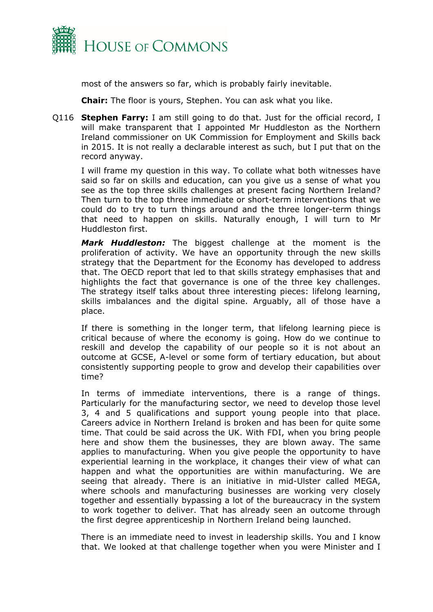

most of the answers so far, which is probably fairly inevitable.

**Chair:** The floor is yours, Stephen. You can ask what you like.

Q116 **Stephen Farry:** I am still going to do that. Just for the official record, I will make transparent that I appointed Mr Huddleston as the Northern Ireland commissioner on UK Commission for Employment and Skills back in 2015. It is not really a declarable interest as such, but I put that on the record anyway.

I will frame my question in this way. To collate what both witnesses have said so far on skills and education, can you give us a sense of what you see as the top three skills challenges at present facing Northern Ireland? Then turn to the top three immediate or short-term interventions that we could do to try to turn things around and the three longer-term things that need to happen on skills. Naturally enough, I will turn to Mr Huddleston first.

*Mark Huddleston:* The biggest challenge at the moment is the proliferation of activity. We have an opportunity through the new skills strategy that the Department for the Economy has developed to address that. The OECD report that led to that skills strategy emphasises that and highlights the fact that governance is one of the three key challenges. The strategy itself talks about three interesting pieces: lifelong learning, skills imbalances and the digital spine. Arguably, all of those have a place.

If there is something in the longer term, that lifelong learning piece is critical because of where the economy is going. How do we continue to reskill and develop the capability of our people so it is not about an outcome at GCSE, A-level or some form of tertiary education, but about consistently supporting people to grow and develop their capabilities over time?

In terms of immediate interventions, there is a range of things. Particularly for the manufacturing sector, we need to develop those level 3, 4 and 5 qualifications and support young people into that place. Careers advice in Northern Ireland is broken and has been for quite some time. That could be said across the UK. With FDI, when you bring people here and show them the businesses, they are blown away. The same applies to manufacturing. When you give people the opportunity to have experiential learning in the workplace, it changes their view of what can happen and what the opportunities are within manufacturing. We are seeing that already. There is an initiative in mid-Ulster called MEGA, where schools and manufacturing businesses are working very closely together and essentially bypassing a lot of the bureaucracy in the system to work together to deliver. That has already seen an outcome through the first degree apprenticeship in Northern Ireland being launched.

There is an immediate need to invest in leadership skills. You and I know that. We looked at that challenge together when you were Minister and I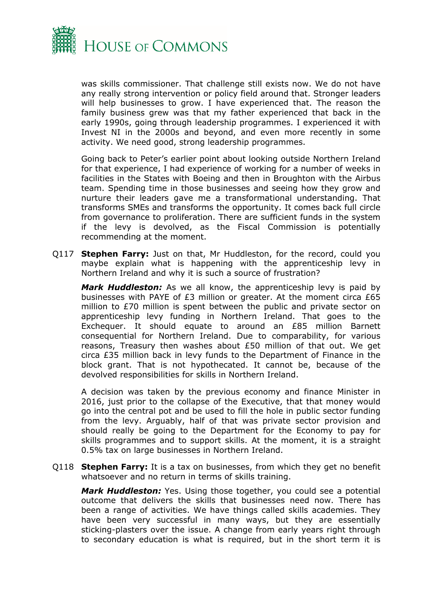

was skills commissioner. That challenge still exists now. We do not have any really strong intervention or policy field around that. Stronger leaders will help businesses to grow. I have experienced that. The reason the family business grew was that my father experienced that back in the early 1990s, going through leadership programmes. I experienced it with Invest NI in the 2000s and beyond, and even more recently in some activity. We need good, strong leadership programmes.

Going back to Peter's earlier point about looking outside Northern Ireland for that experience, I had experience of working for a number of weeks in facilities in the States with Boeing and then in Broughton with the Airbus team. Spending time in those businesses and seeing how they grow and nurture their leaders gave me a transformational understanding. That transforms SMEs and transforms the opportunity. It comes back full circle from governance to proliferation. There are sufficient funds in the system if the levy is devolved, as the Fiscal Commission is potentially recommending at the moment.

Q117 **Stephen Farry:** Just on that, Mr Huddleston, for the record, could you maybe explain what is happening with the apprenticeship levy in Northern Ireland and why it is such a source of frustration?

*Mark Huddleston:* As we all know, the apprenticeship levy is paid by businesses with PAYE of £3 million or greater. At the moment circa £65 million to £70 million is spent between the public and private sector on apprenticeship levy funding in Northern Ireland. That goes to the Exchequer. It should equate to around an £85 million Barnett consequential for Northern Ireland. Due to comparability, for various reasons, Treasury then washes about £50 million of that out. We get circa £35 million back in levy funds to the Department of Finance in the block grant. That is not hypothecated. It cannot be, because of the devolved responsibilities for skills in Northern Ireland.

A decision was taken by the previous economy and finance Minister in 2016, just prior to the collapse of the Executive, that that money would go into the central pot and be used to fill the hole in public sector funding from the levy. Arguably, half of that was private sector provision and should really be going to the Department for the Economy to pay for skills programmes and to support skills. At the moment, it is a straight 0.5% tax on large businesses in Northern Ireland.

Q118 **Stephen Farry:** It is a tax on businesses, from which they get no benefit whatsoever and no return in terms of skills training.

*Mark Huddleston:* Yes. Using those together, you could see a potential outcome that delivers the skills that businesses need now. There has been a range of activities. We have things called skills academies. They have been very successful in many ways, but they are essentially sticking-plasters over the issue. A change from early years right through to secondary education is what is required, but in the short term it is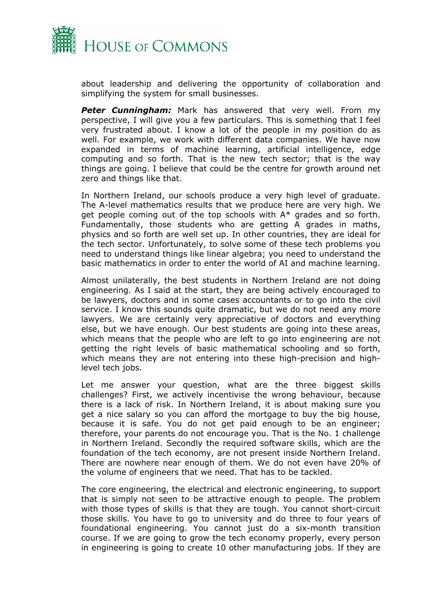

about leadership and delivering the opportunity of collaboration and simplifying the system for small businesses.

*Peter Cunningham:* Mark has answered that very well. From my perspective, I will give you a few particulars. This is something that I feel very frustrated about. I know a lot of the people in my position do as well. For example, we work with different data companies. We have now expanded in terms of machine learning, artificial intelligence, edge computing and so forth. That is the new tech sector; that is the way things are going. I believe that could be the centre for growth around net zero and things like that.

In Northern Ireland, our schools produce a very high level of graduate. The A-level mathematics results that we produce here are very high. We get people coming out of the top schools with A\* grades and so forth. Fundamentally, those students who are getting A grades in maths, physics and so forth are well set up. In other countries, they are ideal for the tech sector. Unfortunately, to solve some of these tech problems you need to understand things like linear algebra; you need to understand the basic mathematics in order to enter the world of AI and machine learning.

Almost unilaterally, the best students in Northern Ireland are not doing engineering. As I said at the start, they are being actively encouraged to be lawyers, doctors and in some cases accountants or to go into the civil service. I know this sounds quite dramatic, but we do not need any more lawyers. We are certainly very appreciative of doctors and everything else, but we have enough. Our best students are going into these areas, which means that the people who are left to go into engineering are not getting the right levels of basic mathematical schooling and so forth, which means they are not entering into these high-precision and highlevel tech jobs.

Let me answer your question, what are the three biggest skills challenges? First, we actively incentivise the wrong behaviour, because there is a lack of risk. In Northern Ireland, it is about making sure you get a nice salary so you can afford the mortgage to buy the big house, because it is safe. You do not get paid enough to be an engineer; therefore, your parents do not encourage you. That is the No. 1 challenge in Northern Ireland. Secondly the required software skills, which are the foundation of the tech economy, are not present inside Northern Ireland. There are nowhere near enough of them. We do not even have 20% of the volume of engineers that we need. That has to be tackled.

The core engineering, the electrical and electronic engineering, to support that is simply not seen to be attractive enough to people. The problem with those types of skills is that they are tough. You cannot short-circuit those skills. You have to go to university and do three to four years of foundational engineering. You cannot just do a six-month transition course. If we are going to grow the tech economy properly, every person in engineering is going to create 10 other manufacturing jobs. If they are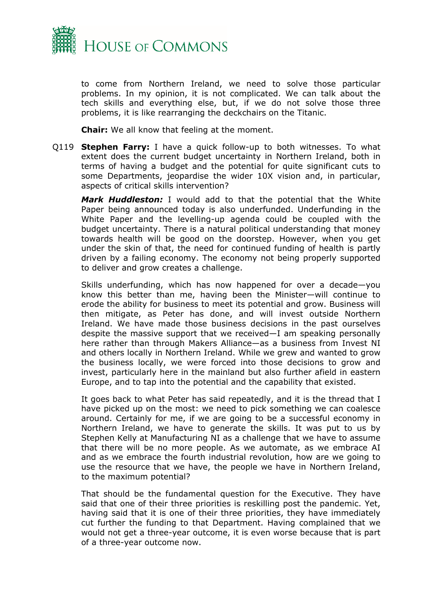

to come from Northern Ireland, we need to solve those particular problems. In my opinion, it is not complicated. We can talk about the tech skills and everything else, but, if we do not solve those three problems, it is like rearranging the deckchairs on the Titanic.

**Chair:** We all know that feeling at the moment.

Q119 **Stephen Farry:** I have a quick follow-up to both witnesses. To what extent does the current budget uncertainty in Northern Ireland, both in terms of having a budget and the potential for quite significant cuts to some Departments, jeopardise the wider 10X vision and, in particular, aspects of critical skills intervention?

*Mark Huddleston:* I would add to that the potential that the White Paper being announced today is also underfunded. Underfunding in the White Paper and the levelling-up agenda could be coupled with the budget uncertainty. There is a natural political understanding that money towards health will be good on the doorstep. However, when you get under the skin of that, the need for continued funding of health is partly driven by a failing economy. The economy not being properly supported to deliver and grow creates a challenge.

Skills underfunding, which has now happened for over a decade—you know this better than me, having been the Minister—will continue to erode the ability for business to meet its potential and grow. Business will then mitigate, as Peter has done, and will invest outside Northern Ireland. We have made those business decisions in the past ourselves despite the massive support that we received—I am speaking personally here rather than through Makers Alliance—as a business from Invest NI and others locally in Northern Ireland. While we grew and wanted to grow the business locally, we were forced into those decisions to grow and invest, particularly here in the mainland but also further afield in eastern Europe, and to tap into the potential and the capability that existed.

It goes back to what Peter has said repeatedly, and it is the thread that I have picked up on the most: we need to pick something we can coalesce around. Certainly for me, if we are going to be a successful economy in Northern Ireland, we have to generate the skills. It was put to us by Stephen Kelly at Manufacturing NI as a challenge that we have to assume that there will be no more people. As we automate, as we embrace AI and as we embrace the fourth industrial revolution, how are we going to use the resource that we have, the people we have in Northern Ireland, to the maximum potential?

That should be the fundamental question for the Executive. They have said that one of their three priorities is reskilling post the pandemic. Yet, having said that it is one of their three priorities, they have immediately cut further the funding to that Department. Having complained that we would not get a three-year outcome, it is even worse because that is part of a three-year outcome now.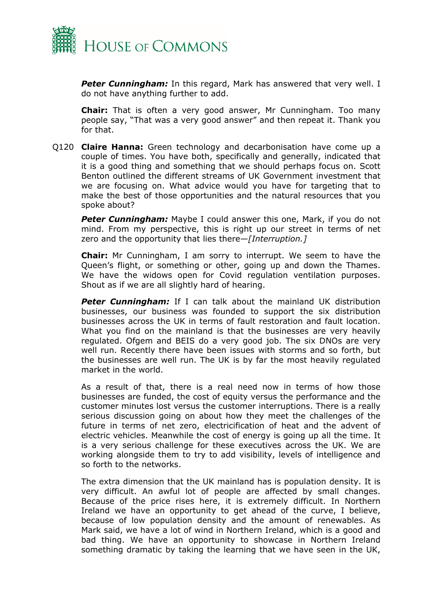

*Peter Cunningham:* In this regard, Mark has answered that very well. I do not have anything further to add.

**Chair:** That is often a very good answer, Mr Cunningham. Too many people say, "That was a very good answer" and then repeat it. Thank you for that.

Q120 **Claire Hanna:** Green technology and decarbonisation have come up a couple of times. You have both, specifically and generally, indicated that it is a good thing and something that we should perhaps focus on. Scott Benton outlined the different streams of UK Government investment that we are focusing on. What advice would you have for targeting that to make the best of those opportunities and the natural resources that you spoke about?

**Peter Cunningham:** Maybe I could answer this one, Mark, if you do not mind. From my perspective, this is right up our street in terms of net zero and the opportunity that lies there—*[Interruption.]*

**Chair:** Mr Cunningham, I am sorry to interrupt. We seem to have the Queen's flight, or something or other, going up and down the Thames. We have the widows open for Covid regulation ventilation purposes. Shout as if we are all slightly hard of hearing.

*Peter Cunningham:* If I can talk about the mainland UK distribution businesses, our business was founded to support the six distribution businesses across the UK in terms of fault restoration and fault location. What you find on the mainland is that the businesses are very heavily regulated. Ofgem and BEIS do a very good job. The six DNOs are very well run. Recently there have been issues with storms and so forth, but the businesses are well run. The UK is by far the most heavily regulated market in the world.

As a result of that, there is a real need now in terms of how those businesses are funded, the cost of equity versus the performance and the customer minutes lost versus the customer interruptions. There is a really serious discussion going on about how they meet the challenges of the future in terms of net zero, electricification of heat and the advent of electric vehicles. Meanwhile the cost of energy is going up all the time. It is a very serious challenge for these executives across the UK. We are working alongside them to try to add visibility, levels of intelligence and so forth to the networks.

The extra dimension that the UK mainland has is population density. It is very difficult. An awful lot of people are affected by small changes. Because of the price rises here, it is extremely difficult. In Northern Ireland we have an opportunity to get ahead of the curve, I believe, because of low population density and the amount of renewables. As Mark said, we have a lot of wind in Northern Ireland, which is a good and bad thing. We have an opportunity to showcase in Northern Ireland something dramatic by taking the learning that we have seen in the UK,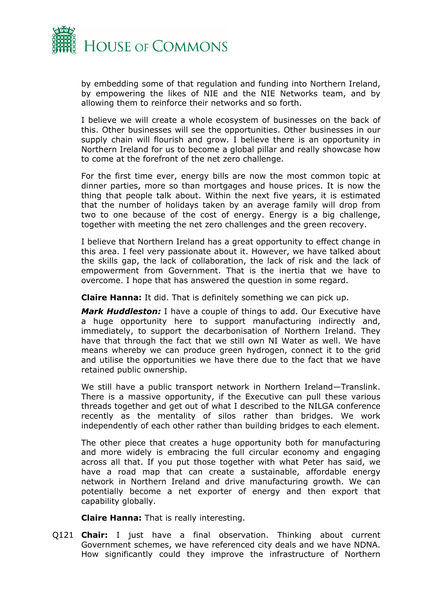

by embedding some of that regulation and funding into Northern Ireland, by empowering the likes of NIE and the NIE Networks team, and by allowing them to reinforce their networks and so forth.

I believe we will create a whole ecosystem of businesses on the back of this. Other businesses will see the opportunities. Other businesses in our supply chain will flourish and grow. I believe there is an opportunity in Northern Ireland for us to become a global pillar and really showcase how to come at the forefront of the net zero challenge.

For the first time ever, energy bills are now the most common topic at dinner parties, more so than mortgages and house prices. It is now the thing that people talk about. Within the next five years, it is estimated that the number of holidays taken by an average family will drop from two to one because of the cost of energy. Energy is a big challenge, together with meeting the net zero challenges and the green recovery.

I believe that Northern Ireland has a great opportunity to effect change in this area. I feel very passionate about it. However, we have talked about the skills gap, the lack of collaboration, the lack of risk and the lack of empowerment from Government. That is the inertia that we have to overcome. I hope that has answered the question in some regard.

**Claire Hanna:** It did. That is definitely something we can pick up.

*Mark Huddleston:* I have a couple of things to add. Our Executive have a huge opportunity here to support manufacturing indirectly and, immediately, to support the decarbonisation of Northern Ireland. They have that through the fact that we still own NI Water as well. We have means whereby we can produce green hydrogen, connect it to the grid and utilise the opportunities we have there due to the fact that we have retained public ownership.

We still have a public transport network in Northern Ireland—Translink. There is a massive opportunity, if the Executive can pull these various threads together and get out of what I described to the NILGA conference recently as the mentality of silos rather than bridges. We work independently of each other rather than building bridges to each element.

The other piece that creates a huge opportunity both for manufacturing and more widely is embracing the full circular economy and engaging across all that. If you put those together with what Peter has said, we have a road map that can create a sustainable, affordable energy network in Northern Ireland and drive manufacturing growth. We can potentially become a net exporter of energy and then export that capability globally.

**Claire Hanna:** That is really interesting.

Q121 **Chair:** I just have a final observation. Thinking about current Government schemes, we have referenced city deals and we have NDNA. How significantly could they improve the infrastructure of Northern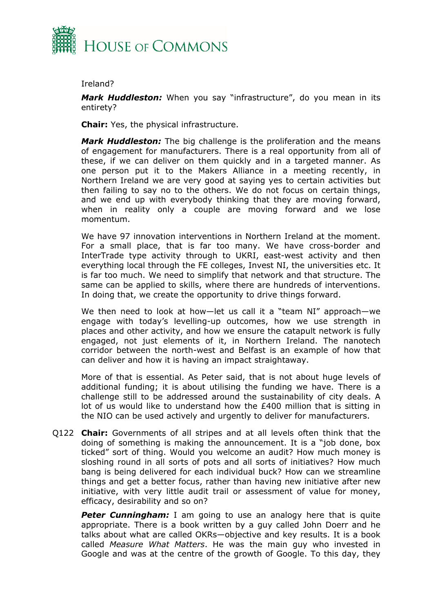

#### Ireland?

*Mark Huddleston:* When you say "infrastructure", do you mean in its entirety?

**Chair:** Yes, the physical infrastructure.

*Mark Huddleston:* The big challenge is the proliferation and the means of engagement for manufacturers. There is a real opportunity from all of these, if we can deliver on them quickly and in a targeted manner. As one person put it to the Makers Alliance in a meeting recently, in Northern Ireland we are very good at saying yes to certain activities but then failing to say no to the others. We do not focus on certain things, and we end up with everybody thinking that they are moving forward, when in reality only a couple are moving forward and we lose momentum.

We have 97 innovation interventions in Northern Ireland at the moment. For a small place, that is far too many. We have cross-border and InterTrade type activity through to UKRI, east-west activity and then everything local through the FE colleges, Invest NI, the universities etc. It is far too much. We need to simplify that network and that structure. The same can be applied to skills, where there are hundreds of interventions. In doing that, we create the opportunity to drive things forward.

We then need to look at how—let us call it a "team NI" approach—we engage with today's levelling-up outcomes, how we use strength in places and other activity, and how we ensure the catapult network is fully engaged, not just elements of it, in Northern Ireland. The nanotech corridor between the north-west and Belfast is an example of how that can deliver and how it is having an impact straightaway.

More of that is essential. As Peter said, that is not about huge levels of additional funding; it is about utilising the funding we have. There is a challenge still to be addressed around the sustainability of city deals. A lot of us would like to understand how the £400 million that is sitting in the NIO can be used actively and urgently to deliver for manufacturers.

Q122 **Chair:** Governments of all stripes and at all levels often think that the doing of something is making the announcement. It is a "job done, box ticked" sort of thing. Would you welcome an audit? How much money is sloshing round in all sorts of pots and all sorts of initiatives? How much bang is being delivered for each individual buck? How can we streamline things and get a better focus, rather than having new initiative after new initiative, with very little audit trail or assessment of value for money, efficacy, desirability and so on?

**Peter Cunningham:** I am going to use an analogy here that is quite appropriate. There is a book written by a guy called John Doerr and he talks about what are called OKRs—objective and key results. It is a book called *Measure What Matters*. He was the main guy who invested in Google and was at the centre of the growth of Google. To this day, they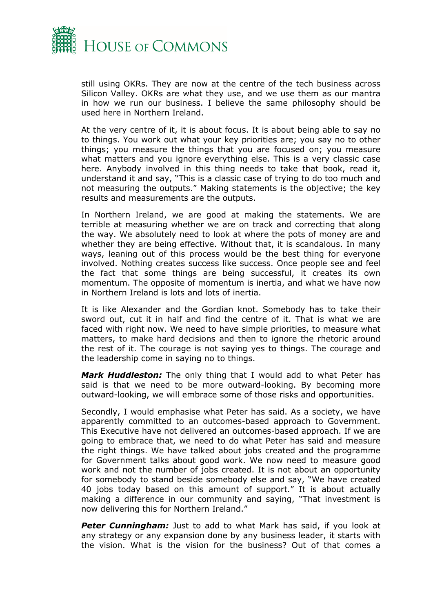

still using OKRs. They are now at the centre of the tech business across Silicon Valley. OKRs are what they use, and we use them as our mantra in how we run our business. I believe the same philosophy should be used here in Northern Ireland.

At the very centre of it, it is about focus. It is about being able to say no to things. You work out what your key priorities are; you say no to other things; you measure the things that you are focused on; you measure what matters and you ignore everything else. This is a very classic case here. Anybody involved in this thing needs to take that book, read it, understand it and say, "This is a classic case of trying to do too much and not measuring the outputs." Making statements is the objective; the key results and measurements are the outputs.

In Northern Ireland, we are good at making the statements. We are terrible at measuring whether we are on track and correcting that along the way. We absolutely need to look at where the pots of money are and whether they are being effective. Without that, it is scandalous. In many ways, leaning out of this process would be the best thing for everyone involved. Nothing creates success like success. Once people see and feel the fact that some things are being successful, it creates its own momentum. The opposite of momentum is inertia, and what we have now in Northern Ireland is lots and lots of inertia.

It is like Alexander and the Gordian knot. Somebody has to take their sword out, cut it in half and find the centre of it. That is what we are faced with right now. We need to have simple priorities, to measure what matters, to make hard decisions and then to ignore the rhetoric around the rest of it. The courage is not saying yes to things. The courage and the leadership come in saying no to things.

*Mark Huddleston:* The only thing that I would add to what Peter has said is that we need to be more outward-looking. By becoming more outward-looking, we will embrace some of those risks and opportunities.

Secondly, I would emphasise what Peter has said. As a society, we have apparently committed to an outcomes-based approach to Government. This Executive have not delivered an outcomes-based approach. If we are going to embrace that, we need to do what Peter has said and measure the right things. We have talked about jobs created and the programme for Government talks about good work. We now need to measure good work and not the number of jobs created. It is not about an opportunity for somebody to stand beside somebody else and say, "We have created 40 jobs today based on this amount of support." It is about actually making a difference in our community and saying, "That investment is now delivering this for Northern Ireland."

**Peter Cunningham:** Just to add to what Mark has said, if you look at any strategy or any expansion done by any business leader, it starts with the vision. What is the vision for the business? Out of that comes a